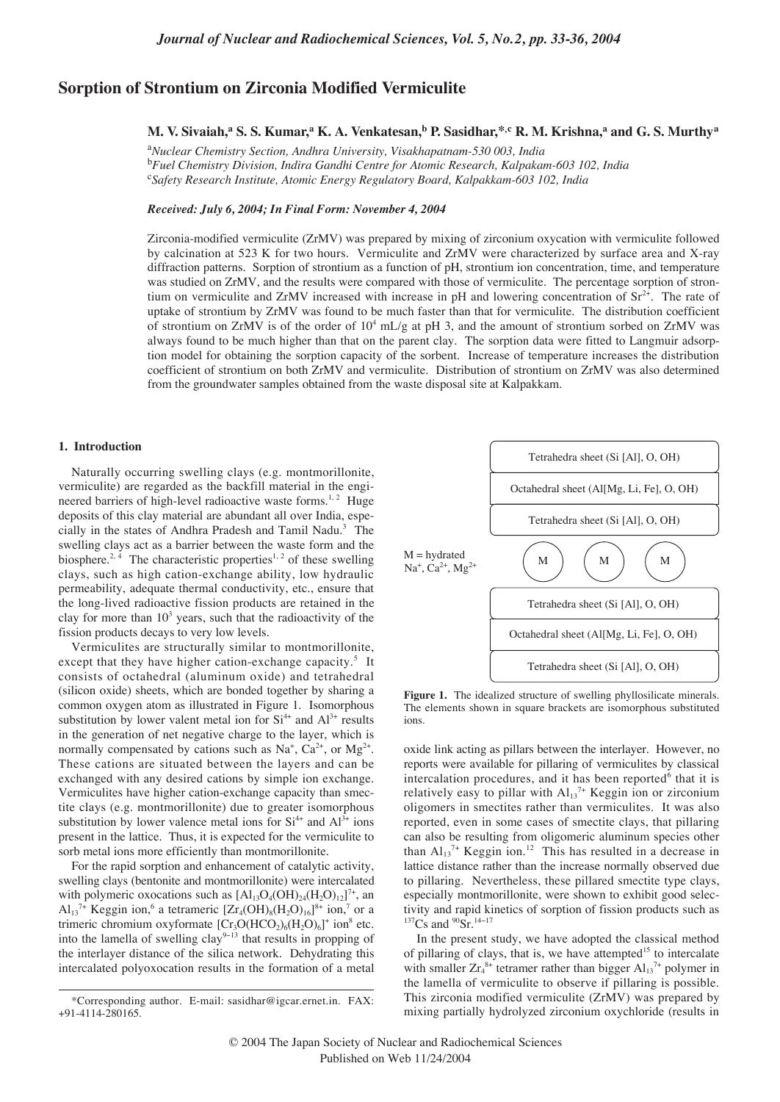# **Sorption of Strontium on Zirconia Modified Vermiculite**

# **M. V. Sivaiah,a S. S. Kumar,a K. A. Venkatesan,<sup>b</sup> P. Sasidhar,\*,c R. M. Krishna,<sup>a</sup> and G. S. Murthy<sup>a</sup>**

a *Nuclear Chemistry Section, Andhra University, Visakhapatnam-530 003, India* b *Fuel Chemistry Division, Indira Gandhi Centre for Atomic Research, Kalpakam-603 102, India* c *Safety Research Institute, Atomic Energy Regulatory Board, Kalpakkam-603 102, India*

## *Received: July 6, 2004; In Final Form: November 4, 2004*

Zirconia-modified vermiculite (ZrMV) was prepared by mixing of zirconium oxycation with vermiculite followed by calcination at 523 K for two hours. Vermiculite and ZrMV were characterized by surface area and X-ray diffraction patterns. Sorption of strontium as a function of pH, strontium ion concentration, time, and temperature was studied on ZrMV, and the results were compared with those of vermiculite. The percentage sorption of strontium on vermiculite and ZrMV increased with increase in pH and lowering concentration of  $Sr^{2+}$ . The rate of uptake of strontium by ZrMV was found to be much faster than that for vermiculite. The distribution coefficient of strontium on ZrMV is of the order of  $10^4$  mL/g at pH 3, and the amount of strontium sorbed on ZrMV was always found to be much higher than that on the parent clay. The sorption data were fitted to Langmuir adsorption model for obtaining the sorption capacity of the sorbent. Increase of temperature increases the distribution coefficient of strontium on both ZrMV and vermiculite. Distribution of strontium on ZrMV was also determined from the groundwater samples obtained from the waste disposal site at Kalpakkam.

# **1. Introduction**

Naturally occurring swelling clays (e.g. montmorillonite, vermiculite) are regarded as the backfill material in the engineered barriers of high-level radioactive waste forms.<sup>1, 2</sup> Huge deposits of this clay material are abundant all over India, especially in the states of Andhra Pradesh and Tamil Nadu.3 The swelling clays act as a barrier between the waste form and the biosphere.<sup>2, 4</sup> The characteristic properties<sup>1, 2</sup> of these swelling clays, such as high cation-exchange ability, low hydraulic permeability, adequate thermal conductivity, etc., ensure that the long-lived radioactive fission products are retained in the clay for more than  $10<sup>3</sup>$  years, such that the radioactivity of the fission products decays to very low levels.

Vermiculites are structurally similar to montmorillonite, except that they have higher cation-exchange capacity.<sup>5</sup> It consists of octahedral (aluminum oxide) and tetrahedral (silicon oxide) sheets, which are bonded together by sharing a common oxygen atom as illustrated in Figure 1. Isomorphous substitution by lower valent metal ion for  $Si<sup>4+</sup>$  and  $Al<sup>3+</sup>$  results in the generation of net negative charge to the layer, which is normally compensated by cations such as  $Na^+$ ,  $Ca^{2+}$ , or  $Mg^{2+}$ . These cations are situated between the layers and can be exchanged with any desired cations by simple ion exchange. Vermiculites have higher cation-exchange capacity than smectite clays (e.g. montmorillonite) due to greater isomorphous substitution by lower valence metal ions for  $Si<sup>4+</sup>$  and  $Al<sup>3+</sup>$  ions present in the lattice. Thus, it is expected for the vermiculite to sorb metal ions more efficiently than montmorillonite.

For the rapid sorption and enhancement of catalytic activity, swelling clays (bentonite and montmorillonite) were intercalated with polymeric oxocations such as  $[Al_{13}O_4(OH)_{24}(H_2O)_{12}]^{7+}$ , an  $Al_{13}^{\pi}$ <sup>+</sup> Keggin ion,<sup>6</sup> a tetrameric  $[Zr_4(OH)_8(H_2O)_{16}]^{8+}$  ion,<sup>7</sup> or a trimeric chromium oxyformate  $[Cr_3O(HCO_2)_6(H_2O)_6]^+$  ion<sup>8</sup> etc. into the lamella of swelling clay<sup>9−13</sup> that results in propping of the interlayer distance of the silica network. Dehydrating this intercalated polyoxocation results in the formation of a metal



Figure 1. The idealized structure of swelling phyllosilicate minerals. The elements shown in square brackets are isomorphous substituted ions.

oxide link acting as pillars between the interlayer. However, no reports were available for pillaring of vermiculites by classical intercalation procedures, and it has been reported $6$  that it is relatively easy to pillar with  $Al_{13}^{7+}$  Keggin ion or zirconium oligomers in smectites rather than vermiculites. It was also reported, even in some cases of smectite clays, that pillaring can also be resulting from oligomeric aluminum species other than  $Al_{13}$ <sup>7+</sup> Keggin ion.<sup>12</sup> This has resulted in a decrease in lattice distance rather than the increase normally observed due to pillaring. Nevertheless, these pillared smectite type clays, especially montmorillonite, were shown to exhibit good selectivity and rapid kinetics of sorption of fission products such as  $137Cs$  and  $90Sr.14-17$ 

In the present study, we have adopted the classical method of pillaring of clays, that is, we have attempted<sup>15</sup> to intercalate with smaller  $Zr_4^{8+}$  tetramer rather than bigger  $Al_{13}^{7+}$  polymer in the lamella of vermiculite to observe if pillaring is possible. This zirconia modified vermiculite (ZrMV) was prepared by mixing partially hydrolyzed zirconium oxychloride (results in

<sup>\*</sup>Corresponding author. E-mail: sasidhar@igcar.ernet.in. FAX: +91-4114-280165.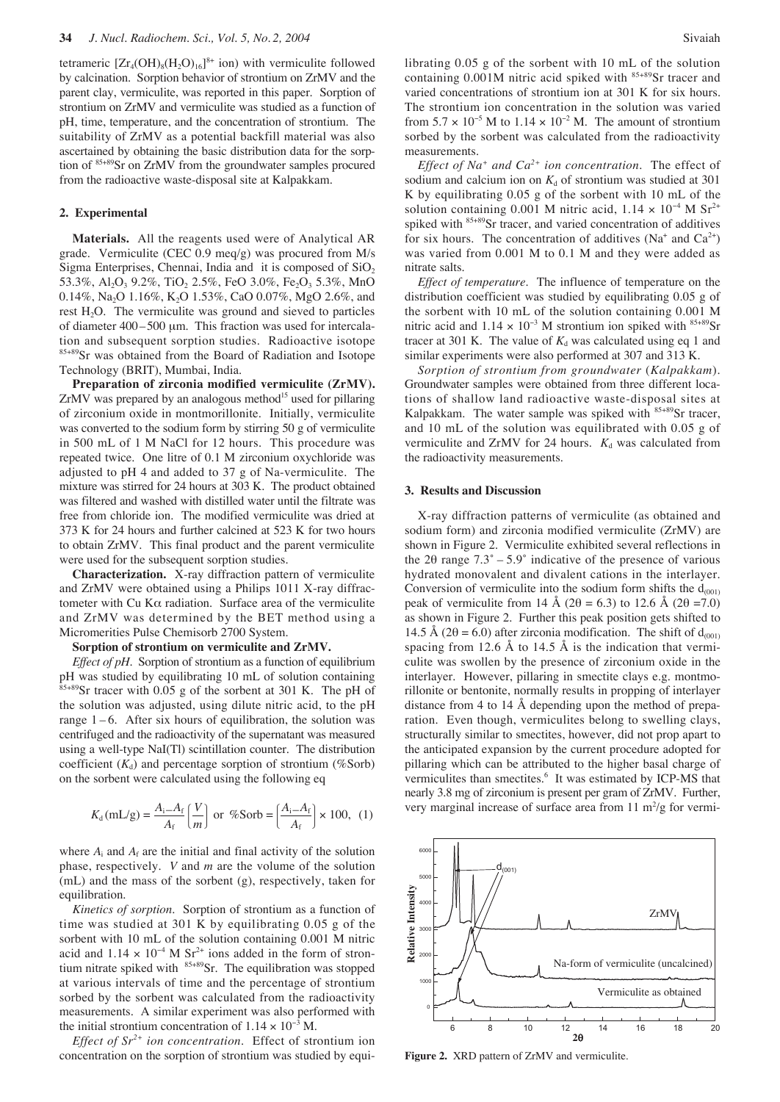tetrameric  $[Zr_4(OH)_8(H_2O)_{16}]^{8+}$  ion) with vermiculite followed by calcination. Sorption behavior of strontium on ZrMV and the parent clay, vermiculite, was reported in this paper. Sorption of strontium on ZrMV and vermiculite was studied as a function of pH, time, temperature, and the concentration of strontium. The suitability of ZrMV as a potential backfill material was also ascertained by obtaining the basic distribution data for the sorption of 85+89Sr on ZrMV from the groundwater samples procured from the radioactive waste-disposal site at Kalpakkam.

#### **2. Experimental**

**Materials.** All the reagents used were of Analytical AR grade. Vermiculite (CEC 0.9 meq/g) was procured from M/s Sigma Enterprises, Chennai, India and it is composed of  $SiO<sub>2</sub>$ 53.3%, Al<sub>2</sub>O<sub>3</sub> 9.2%, TiO<sub>2</sub> 2.5%, FeO 3.0%, Fe<sub>2</sub>O<sub>3</sub> 5.3%, MnO 0.14%, Na<sub>2</sub>O 1.16%, K<sub>2</sub>O 1.53%, CaO 0.07%, MgO 2.6%, and rest  $H_2O$ . The vermiculite was ground and sieved to particles of diameter  $400 - 500 \mu m$ . This fraction was used for intercalation and subsequent sorption studies. Radioactive isotope 85+89Sr was obtained from the Board of Radiation and Isotope Technology (BRIT), Mumbai, India.

**Preparation of zirconia modified vermiculite (ZrMV).**  $ZrMV$  was prepared by an analogous method<sup>15</sup> used for pillaring of zirconium oxide in montmorillonite. Initially, vermiculite was converted to the sodium form by stirring 50 g of vermiculite in 500 mL of 1 M NaCl for 12 hours. This procedure was repeated twice. One litre of 0.1 M zirconium oxychloride was adjusted to pH 4 and added to 37 g of Na-vermiculite. The mixture was stirred for 24 hours at 303 K. The product obtained was filtered and washed with distilled water until the filtrate was free from chloride ion. The modified vermiculite was dried at 373 K for 24 hours and further calcined at 523 K for two hours to obtain ZrMV. This final product and the parent vermiculite were used for the subsequent sorption studies.

**Characterization.** X-ray diffraction pattern of vermiculite and ZrMV were obtained using a Philips 1011 X-ray diffractometer with Cu Kα radiation. Surface area of the vermiculite and ZrMV was determined by the BET method using a Micromerities Pulse Chemisorb 2700 System.

## **Sorption of strontium on vermiculite and ZrMV.**

*Effect of pH*. Sorption of strontium as a function of equilibrium pH was studied by equilibrating 10 mL of solution containing  $85+89$ Sr tracer with 0.05 g of the sorbent at 301 K. The pH of the solution was adjusted, using dilute nitric acid, to the pH range  $1 - 6$ . After six hours of equilibration, the solution was centrifuged and the radioactivity of the supernatant was measured using a well-type NaI(Tl) scintillation counter. The distribution coefficient  $(K_d)$  and percentage sorption of strontium (%Sorb) on the sorbent were calculated using the following eq

$$
K_{\rm d}(\mathrm{m}L/\mathrm{g}) = \frac{A_{\rm i}-A_{\rm f}}{A_{\rm f}}\left(\frac{V}{m}\right) \text{ or } \% \text{Sorb} = \left(\frac{A_{\rm i}-A_{\rm f}}{A_{\rm f}}\right) \times 100, \tag{1}
$$

where  $A_i$  and  $A_f$  are the initial and final activity of the solution phase, respectively. *V* and *m* are the volume of the solution (mL) and the mass of the sorbent (g), respectively, taken for equilibration.

*Kinetics of sorption*. Sorption of strontium as a function of time was studied at 301 K by equilibrating 0.05 g of the sorbent with 10 mL of the solution containing 0.001 M nitric acid and  $1.14 \times 10^{-4}$  M Sr<sup>2+</sup> ions added in the form of strontium nitrate spiked with  $85+89$ Sr. The equilibration was stopped at various intervals of time and the percentage of strontium sorbed by the sorbent was calculated from the radioactivity measurements. A similar experiment was also performed with the initial strontium concentration of  $1.14 \times 10^{-3}$  M.

*Effect of Sr2+ ion concentration*. Effect of strontium ion concentration on the sorption of strontium was studied by equi-

*Effect of Na<sup>+</sup> and Ca2+ ion concentration*. The effect of sodium and calcium ion on  $K_d$  of strontium was studied at 301 K by equilibrating  $0.05$  g of the sorbent with 10 mL of the solution containing 0.001 M nitric acid,  $1.14 \times 10^{-4}$  M Sr<sup>2+</sup> spiked with <sup>85+89</sup>Sr tracer, and varied concentration of additives for six hours. The concentration of additives (Na<sup>+</sup> and  $Ca^{2+}$ ) was varied from 0.001 M to 0.1 M and they were added as nitrate salts.

*Effect of temperature*. The influence of temperature on the distribution coefficient was studied by equilibrating 0.05 g of the sorbent with 10 mL of the solution containing 0.001 M nitric acid and  $1.14 \times 10^{-3}$  M strontium ion spiked with <sup>85+89</sup>Sr tracer at 301 K. The value of  $K_d$  was calculated using eq 1 and similar experiments were also performed at 307 and 313 K.

*Sorption of strontium from groundwater* (*Kalpakkam*). Groundwater samples were obtained from three different locations of shallow land radioactive waste-disposal sites at Kalpakkam. The water sample was spiked with <sup>85+89</sup>Sr tracer, and 10 mL of the solution was equilibrated with 0.05 g of vermiculite and ZrMV for 24 hours.  $K_d$  was calculated from the radioactivity measurements.

#### **3. Results and Discussion**

X-ray diffraction patterns of vermiculite (as obtained and sodium form) and zirconia modified vermiculite (ZrMV) are shown in Figure 2. Vermiculite exhibited several reflections in the 2 $\theta$  range  $7.3^{\circ} - 5.9^{\circ}$  indicative of the presence of various hydrated monovalent and divalent cations in the interlayer. Conversion of vermiculite into the sodium form shifts the  $d_{(001)}$ peak of vermiculite from 14 Å (2 $\theta$  = 6.3) to 12.6 Å (2 $\theta$  =7.0) as shown in Figure 2. Further this peak position gets shifted to 14.5 Å (2 $\theta$  = 6.0) after zirconia modification. The shift of  $d_{(001)}$ spacing from 12.6 Å to 14.5 Å is the indication that vermiculite was swollen by the presence of zirconium oxide in the interlayer. However, pillaring in smectite clays e.g. montmorillonite or bentonite, normally results in propping of interlayer distance from 4 to 14 Å depending upon the method of preparation. Even though, vermiculites belong to swelling clays, structurally similar to smectites, however, did not prop apart to the anticipated expansion by the current procedure adopted for pillaring which can be attributed to the higher basal charge of vermiculites than smectites.<sup>6</sup> It was estimated by ICP-MS that nearly 3.8 mg of zirconium is present per gram of ZrMV. Further, very marginal increase of surface area from  $11 \text{ m}^2/\text{g}$  for vermi-



**Figure 2.** XRD pattern of ZrMV and vermiculite.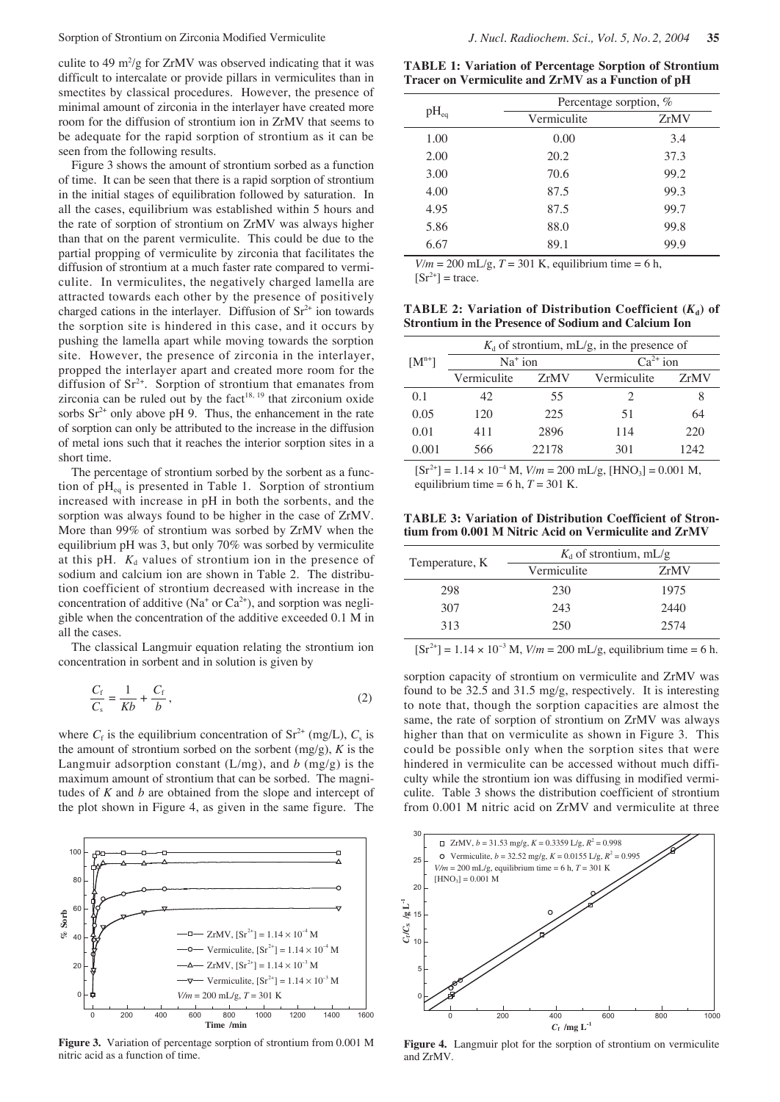culite to 49  $\mathrm{m}^2/\mathrm{g}$  for ZrMV was observed indicating that it was difficult to intercalate or provide pillars in vermiculites than in smectites by classical procedures. However, the presence of minimal amount of zirconia in the interlayer have created more room for the diffusion of strontium ion in ZrMV that seems to be adequate for the rapid sorption of strontium as it can be seen from the following results.

Figure 3 shows the amount of strontium sorbed as a function of time. It can be seen that there is a rapid sorption of strontium in the initial stages of equilibration followed by saturation. In all the cases, equilibrium was established within 5 hours and the rate of sorption of strontium on ZrMV was always higher than that on the parent vermiculite. This could be due to the partial propping of vermiculite by zirconia that facilitates the diffusion of strontium at a much faster rate compared to vermiculite. In vermiculites, the negatively charged lamella are attracted towards each other by the presence of positively charged cations in the interlayer. Diffusion of  $Sr<sup>2+</sup>$  ion towards the sorption site is hindered in this case, and it occurs by pushing the lamella apart while moving towards the sorption site. However, the presence of zirconia in the interlayer, propped the interlayer apart and created more room for the diffusion of  $Sr^{2+}$ . Sorption of strontium that emanates from zirconia can be ruled out by the  $fact$ <sup>18, 19</sup> that zirconium oxide sorbs  $Sr^{2+}$  only above pH 9. Thus, the enhancement in the rate of sorption can only be attributed to the increase in the diffusion of metal ions such that it reaches the interior sorption sites in a short time.

The percentage of strontium sorbed by the sorbent as a function of  $pH_{eq}$  is presented in Table 1. Sorption of strontium increased with increase in pH in both the sorbents, and the sorption was always found to be higher in the case of ZrMV. More than 99% of strontium was sorbed by ZrMV when the equilibrium pH was 3, but only 70% was sorbed by vermiculite at this pH.  $K_d$  values of strontium ion in the presence of sodium and calcium ion are shown in Table 2. The distribution coefficient of strontium decreased with increase in the concentration of additive (Na<sup>+</sup> or  $Ca^{2+}$ ), and sorption was negligible when the concentration of the additive exceeded 0.1 M in all the cases.

The classical Langmuir equation relating the strontium ion concentration in sorbent and in solution is given by

$$
\frac{C_{\rm f}}{C_{\rm s}} = \frac{1}{Kb} + \frac{C_{\rm f}}{b},\tag{2}
$$

where  $C_f$  is the equilibrium concentration of  $Sr^{2+}$  (mg/L),  $C_s$  is the amount of strontium sorbed on the sorbent  $(mg/g)$ ,  $K$  is the Langmuir adsorption constant  $(L/mg)$ , and *b*  $(mg/g)$  is the maximum amount of strontium that can be sorbed. The magnitudes of *K* and *b* are obtained from the slope and intercept of the plot shown in Figure 4, as given in the same figure. The



**Figure 3.** Variation of percentage sorption of strontium from 0.001 M nitric acid as a function of time.

**TABLE 1: Variation of Percentage Sorption of Strontium Tracer on Vermiculite and ZrMV as a Function of pH**

| Percentage sorption, % |      |
|------------------------|------|
| Vermiculite            | ZrMV |
| 0.00                   | 3.4  |
| 20.2                   | 37.3 |
| 70.6                   | 99.2 |
| 87.5                   | 99.3 |
| 87.5                   | 99.7 |
| 88.0                   | 99.8 |
| 89.1                   | 99.9 |
|                        |      |

 $V/m = 200$  mL/g,  $T = 301$  K, equilibrium time = 6 h,  $[Sr^{2+}]$  = trace.

**TABLE 2: Variation of Distribution Coefficient**  $(K<sub>a</sub>)$  **of Strontium in the Presence of Sodium and Calcium Ion**

|            | $K_d$ of strontium, mL/g, in the presence of |       |                             |      |
|------------|----------------------------------------------|-------|-----------------------------|------|
| $[M^{n+}]$ | $Na+$ ion                                    |       | $Ca^{2+}$ ion               |      |
|            | Vermiculite                                  | ZrMV  | Vermiculite                 | ZrMV |
| 0.1        | 42.                                          | 55    | $\mathcal{D}_{\mathcal{L}}$ | 8    |
| 0.05       | 120                                          | 225   | 51                          | 64   |
| 0.01       | 411                                          | 2896  | 114                         | 220  |
| 0.001      | 566                                          | 22178 | 301                         | 1242 |

 $[Sr^{2+}] = 1.14 \times 10^{-4}$  M,  $V/m = 200$  mL/g,  $[HNO_3] = 0.001$  M, equilibrium time =  $6 h, T = 301 K$ .

**TABLE 3: Variation of Distribution Coefficient of Strontium from 0.001 M Nitric Acid on Vermiculite and ZrMV**

|                | $K_d$ of strontium, mL/g |      |  |
|----------------|--------------------------|------|--|
| Temperature, K | Vermiculite              | ZrMV |  |
| 298            | 230                      | 1975 |  |
| 307            | 243                      | 2440 |  |
| 313            | 250                      | 2574 |  |

 $[Sr^{2+}] = 1.14 \times 10^{-3}$  M,  $V/m = 200$  mL/g, equilibrium time = 6 h.

sorption capacity of strontium on vermiculite and ZrMV was found to be 32.5 and 31.5 mg/g, respectively. It is interesting to note that, though the sorption capacities are almost the same, the rate of sorption of strontium on ZrMV was always higher than that on vermiculite as shown in Figure 3. This could be possible only when the sorption sites that were hindered in vermiculite can be accessed without much difficulty while the strontium ion was diffusing in modified vermiculite. Table 3 shows the distribution coefficient of strontium from 0.001 M nitric acid on ZrMV and vermiculite at three



**Figure 4.** Langmuir plot for the sorption of strontium on vermiculite and ZrMV.